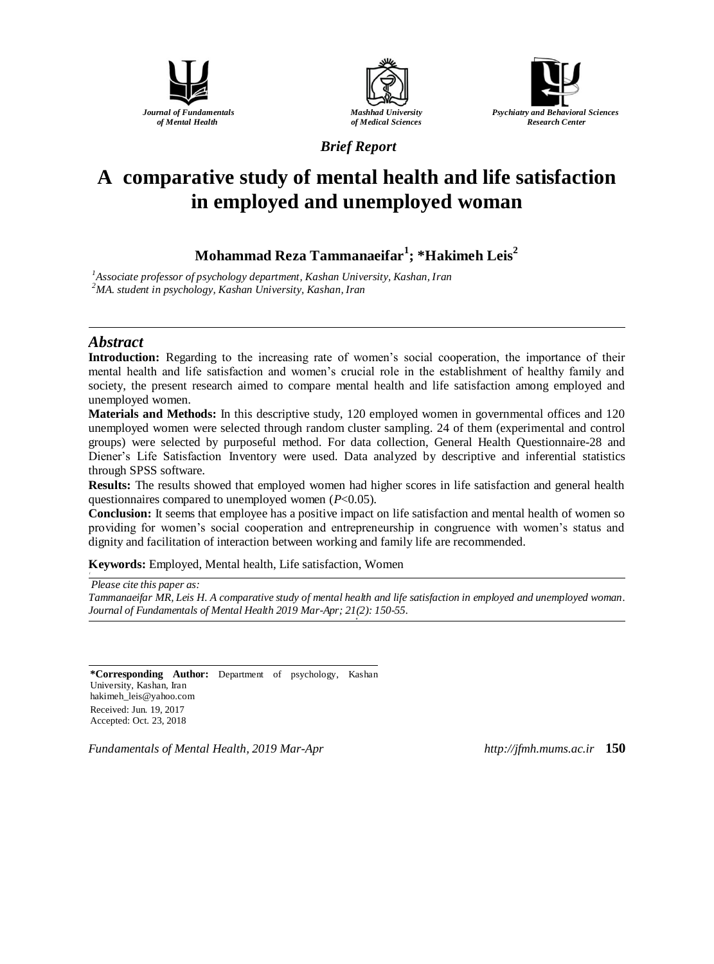





*Brief Report*

# **A comparative study of mental health and life satisfaction in employed and unemployed woman**

**Mohammad Reza Tammanaeifar<sup>1</sup> ; \*Hakimeh Leis<sup>2</sup>**

*<sup>1</sup>Associate professor of psychology department, Kashan University, Kashan, Iran <sup>2</sup>MA. student in psychology, Kashan University, Kashan, Iran*

# *Abstract*

**Introduction:** Regarding to the increasing rate of women's social cooperation, the importance of their mental health and life satisfaction and women's crucial role in the establishment of healthy family and society, the present research aimed to compare mental health and life satisfaction among employed and unemployed women.

**Materials and Methods:** In this descriptive study, 120 employed women in governmental offices and 120 unemployed women were selected through random cluster sampling. 24 of them (experimental and control groups) were selected by purposeful method. For data collection, General Health Questionnaire-28 and Diener's Life Satisfaction Inventory were used. Data analyzed by descriptive and inferential statistics through SPSS software.

**Results:** The results showed that employed women had higher scores in life satisfaction and general health questionnaires compared to unemployed women (*P*<0.05).

**Conclusion:** It seems that employee has a positive impact on life satisfaction and mental health of women so providing for women's social cooperation and entrepreneurship in congruence with women's status and dignity and facilitation of interaction between working and family life are recommended.

**Keywords:** Employed, Mental health, Life satisfaction, Women

*Please cite this paper as:* 

*Tammanaeifar MR, Leis H. A comparative study of mental health and life satisfaction in employed and unemployed woman. Journal of Fundamentals of Mental Health 2019 Mar-Apr; 21(2): 150-55. o*

**\*Corresponding Author:** Department of psychology, Kashan University, Kashan, Iran [hakimeh\\_leis@yahoo.com](mailto:hakimeh_leis@yahoo.com) Received: Jun. 19, 2017 Accepted: Oct. 23, 2018

*Fundamentals of Mental Health, 2019 Mar-Apr http://jfmh.mums.ac.ir* **150**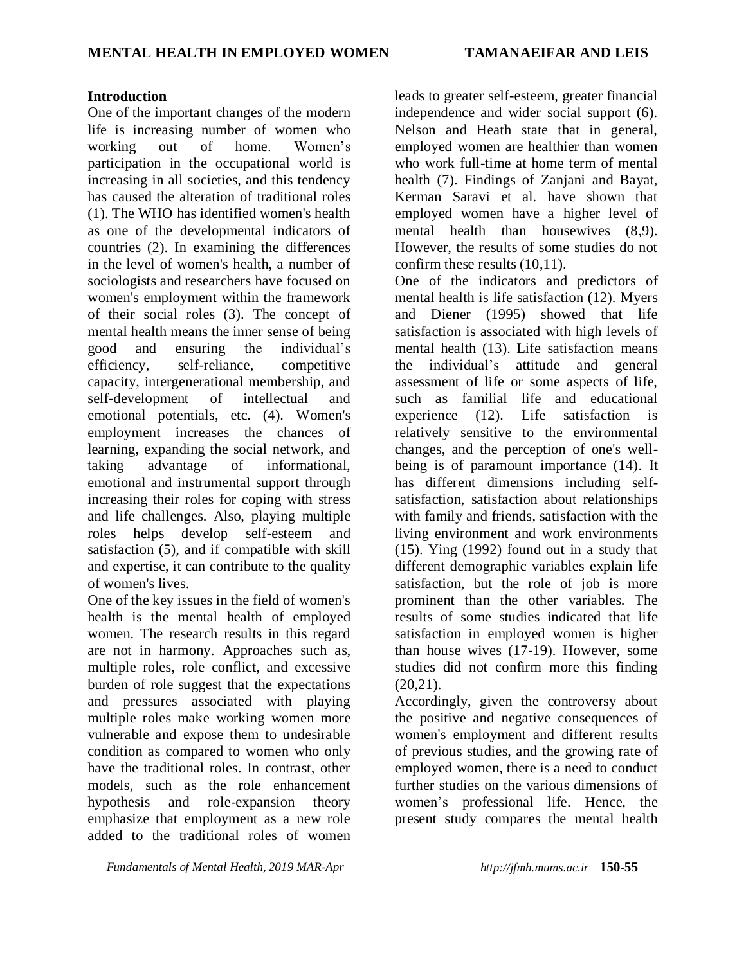## **Introduction**

One of the important changes of the modern life is increasing number of women who working out of home. Women's participation in the occupational world is increasing in all societies, and this tendency has caused the alteration of traditional roles (1). The WHO has identified women's health as one of the developmental indicators of countries (2). In examining the differences in the level of women's health, a number of sociologists and researchers have focused on women's employment within the framework of their social roles (3). The concept of mental health means the inner sense of being good and ensuring the individual's efficiency, self-reliance, competitive capacity, intergenerational membership, and self-development of intellectual and emotional potentials, etc. (4). Women's employment increases the chances of learning, expanding the social network, and taking advantage of informational, emotional and instrumental support through increasing their roles for coping with stress and life challenges. Also, playing multiple roles helps develop self-esteem and satisfaction (5), and if compatible with skill and expertise, it can contribute to the quality of women's lives.

One of the key issues in the field of women's health is the mental health of employed women. The research results in this regard are not in harmony. Approaches such as, multiple roles, role conflict, and excessive burden of role suggest that the expectations and pressures associated with playing multiple roles make working women more vulnerable and expose them to undesirable condition as compared to women who only have the traditional roles. In contrast, other models, such as the role enhancement hypothesis and role-expansion theory emphasize that employment as a new role added to the traditional roles of women

leads to greater self-esteem, greater financial independence and wider social support (6). Nelson and Heath state that in general, employed women are healthier than women who work full-time at home term of mental health (7). Findings of Zanjani and Bayat, Kerman Saravi et al. have shown that employed women have a higher level of mental health than housewives (8,9). However, the results of some studies do not confirm these results (10,11).

One of the indicators and predictors of mental health is life satisfaction (12). Myers and Diener (1995) showed that life satisfaction is associated with high levels of mental health (13). Life satisfaction means the individual's attitude and general assessment of life or some aspects of life, such as familial life and educational experience (12). Life satisfaction is relatively sensitive to the environmental changes, and the perception of one's wellbeing is of paramount importance (14). It has different dimensions including selfsatisfaction, satisfaction about relationships with family and friends, satisfaction with the living environment and work environments (15). Ying (1992) found out in a study that different demographic variables explain life satisfaction, but the role of job is more prominent than the other variables. The results of some studies indicated that life satisfaction in employed women is higher than house wives (17-19). However, some studies did not confirm more this finding  $(20.21)$ .

Accordingly, given the controversy about the positive and negative consequences of women's employment and different results of previous studies, and the growing rate of employed women, there is a need to conduct further studies on the various dimensions of women's professional life. Hence, the present study compares the mental health

*Fundamentals of Mental Health, 2019 MAR-Apr http://jfmh.mums.ac.ir* **150-55**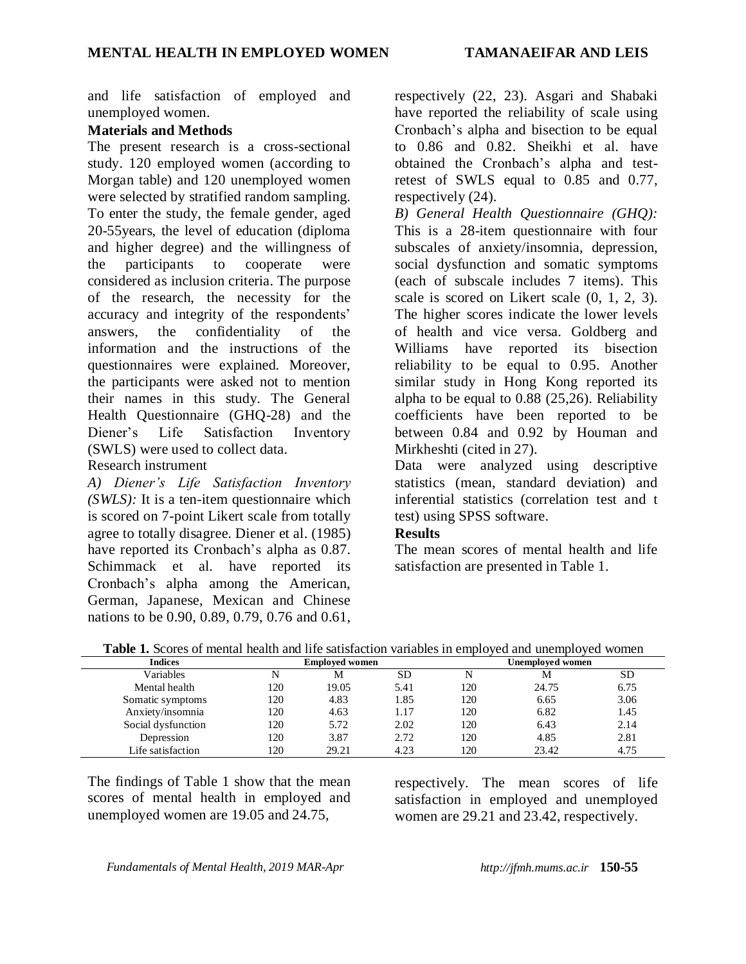and life satisfaction of employed and unemployed women.

# **Materials and Methods**

The present research is a cross-sectional study. 120 employed women (according to Morgan table) and 120 unemployed women were selected by stratified random sampling. To enter the study, the female gender, aged 20-55years, the level of education (diploma and higher degree) and the willingness of the participants to cooperate were considered as inclusion criteria. The purpose of the research, the necessity for the accuracy and integrity of the respondents' answers, the confidentiality of the information and the instructions of the questionnaires were explained. Moreover, the participants were asked not to mention their names in this study. The General Health Questionnaire (GHQ-28) and the Diener's Life Satisfaction Inventory (SWLS) were used to collect data.

Research instrument

*A) Diener's Life Satisfaction Inventory (SWLS):* It is a ten-item questionnaire which is scored on 7-point Likert scale from totally agree to totally disagree. Diener et al. (1985) have reported its Cronbach's alpha as 0.87. Schimmack et al. have reported its Cronbach's alpha among the American, German, Japanese, Mexican and Chinese nations to be 0.90, 0.89, 0.79, 0.76 and 0.61,

respectively (22, 23). Asgari and Shabaki have reported the reliability of scale using Cronbach's alpha and bisection to be equal to 0.86 and 0.82. Sheikhi et al. have obtained the Cronbach's alpha and testretest of SWLS equal to 0.85 and 0.77, respectively (24).

*B) General Health Questionnaire (GHQ):* This is a 28-item questionnaire with four subscales of anxiety/insomnia, depression, social dysfunction and somatic symptoms (each of subscale includes 7 items). This scale is scored on Likert scale (0, 1, 2, 3). The higher scores indicate the lower levels of health and vice versa. Goldberg and Williams have reported its bisection reliability to be equal to 0.95. Another similar study in Hong Kong reported its alpha to be equal to 0.88 (25,26). Reliability coefficients have been reported to be between 0.84 and 0.92 by Houman and Mirkheshti (cited in 27).

Data were analyzed using descriptive statistics (mean, standard deviation) and inferential statistics (correlation test and t test) using SPSS software.

# **Results**

The mean scores of mental health and life satisfaction are presented in Table 1.

| <b>Indices</b>     | <b>Employed women</b> |       |      | Unemploved women |       |           |
|--------------------|-----------------------|-------|------|------------------|-------|-----------|
| Variables          | N                     | М     | SD   |                  | М     | <b>SD</b> |
| Mental health      | 120                   | 19.05 | 5.41 | 120              | 24.75 | 6.75      |
| Somatic symptoms   | 120                   | 4.83  | 1.85 | 120              | 6.65  | 3.06      |
| Anxiety/insomnia   | 120                   | 4.63  | 1.17 | 120              | 6.82  | 1.45      |
| Social dysfunction | 120                   | 5.72  | 2.02 | 120              | 6.43  | 2.14      |
| Depression         | 120                   | 3.87  | 2.72 | 120              | 4.85  | 2.81      |
| Life satisfaction  | 120                   | 29.21 | 4.23 | 120              | 23.42 | 4.75      |

**Table 1.** Scores of mental health and life satisfaction variables in employed and unemployed women

The findings of Table 1 show that the mean scores of mental health in employed and unemployed women are 19.05 and 24.75,

respectively. The mean scores of life satisfaction in employed and unemployed women are 29.21 and 23.42, respectively.

*Fundamentals of Mental Health, 2019 MAR-Apr http://jfmh.mums.ac.ir* **150-55**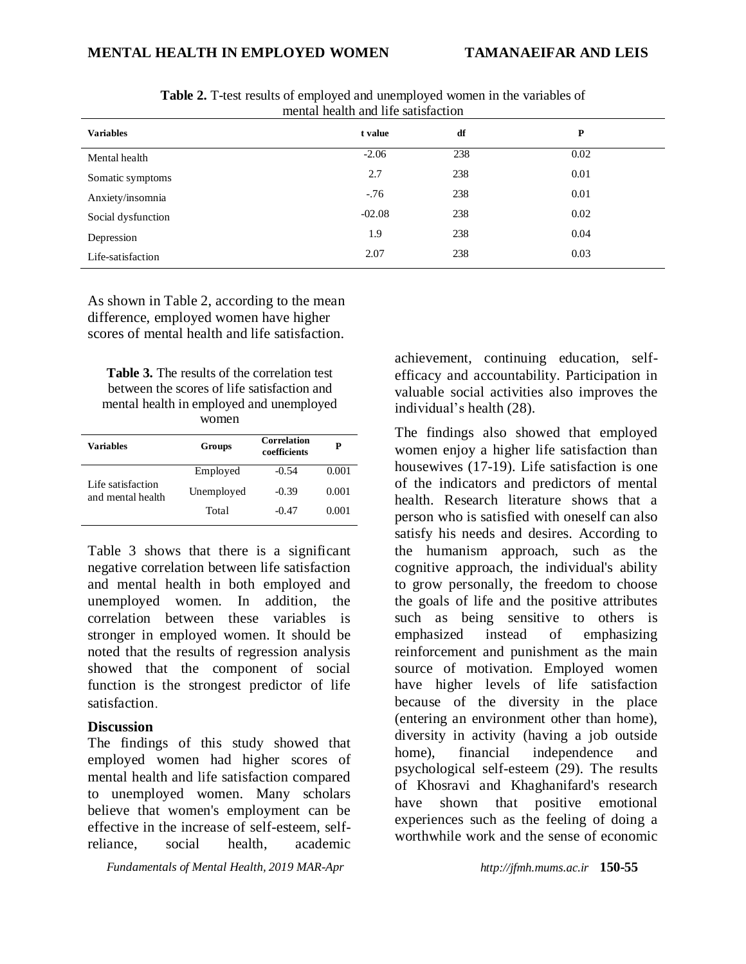## **MENTAL HEALTH IN EMPLOYED WOMEN TAMANAEIFAR AND LEIS**

| <b>Variables</b>   | t value  | df  | P    |  |
|--------------------|----------|-----|------|--|
| Mental health      | $-2.06$  | 238 | 0.02 |  |
| Somatic symptoms   | 2.7      | 238 | 0.01 |  |
| Anxiety/insomnia   | $-76$    | 238 | 0.01 |  |
| Social dysfunction | $-02.08$ | 238 | 0.02 |  |
| Depression         | 1.9      | 238 | 0.04 |  |
| Life-satisfaction  | 2.07     | 238 | 0.03 |  |

**Table 2.** T-test results of employed and unemployed women in the variables of mental health and life satisfaction

As shown in Table 2, according to the mean difference, employed women have higher scores of mental health and life satisfaction.

| <b>Table 3.</b> The results of the correlation test |
|-----------------------------------------------------|
| between the scores of life satisfaction and         |
| mental health in employed and unemployed            |
| women                                               |

| Variables                              | Groups     | <b>Correlation</b><br>coefficients | P     |
|----------------------------------------|------------|------------------------------------|-------|
| Life satisfaction<br>and mental health | Employed   | $-0.54$                            | 0.001 |
|                                        | Unemployed | $-0.39$                            | 0.001 |
|                                        | Total      | $-0.47$                            | 0.001 |

Table 3 shows that there is a significant negative correlation between life satisfaction and mental health in both employed and unemployed women. In addition, the correlation between these variables is stronger in employed women. It should be noted that the results of regression analysis showed that the component of social function is the strongest predictor of life satisfaction.

#### **Discussion**

The findings of this study showed that employed women had higher scores of mental health and life satisfaction compared to unemployed women. Many scholars believe that women's employment can be effective in the increase of self-esteem, selfreliance, social health, academic

*Fundamentals of Mental Health, 2019 MAR-Apr http://jfmh.mums.ac.ir* **150-55**

achievement, continuing education, selfefficacy and accountability. Participation in valuable social activities also improves the individual's health (28).

The findings also showed that employed women enjoy a higher life satisfaction than housewives (17-19). Life satisfaction is one of the indicators and predictors of mental health. Research literature shows that a person who is satisfied with oneself can also satisfy his needs and desires. According to the humanism approach, such as the cognitive approach, the individual's ability to grow personally, the freedom to choose the goals of life and the positive attributes such as being sensitive to others is emphasized instead of emphasizing reinforcement and punishment as the main source of motivation. Employed women have higher levels of life satisfaction because of the diversity in the place (entering an environment other than home), diversity in activity (having a job outside home), financial independence and psychological self-esteem (29). The results of Khosravi and Khaghanifard's research have shown that positive emotional experiences such as the feeling of doing a worthwhile work and the sense of economic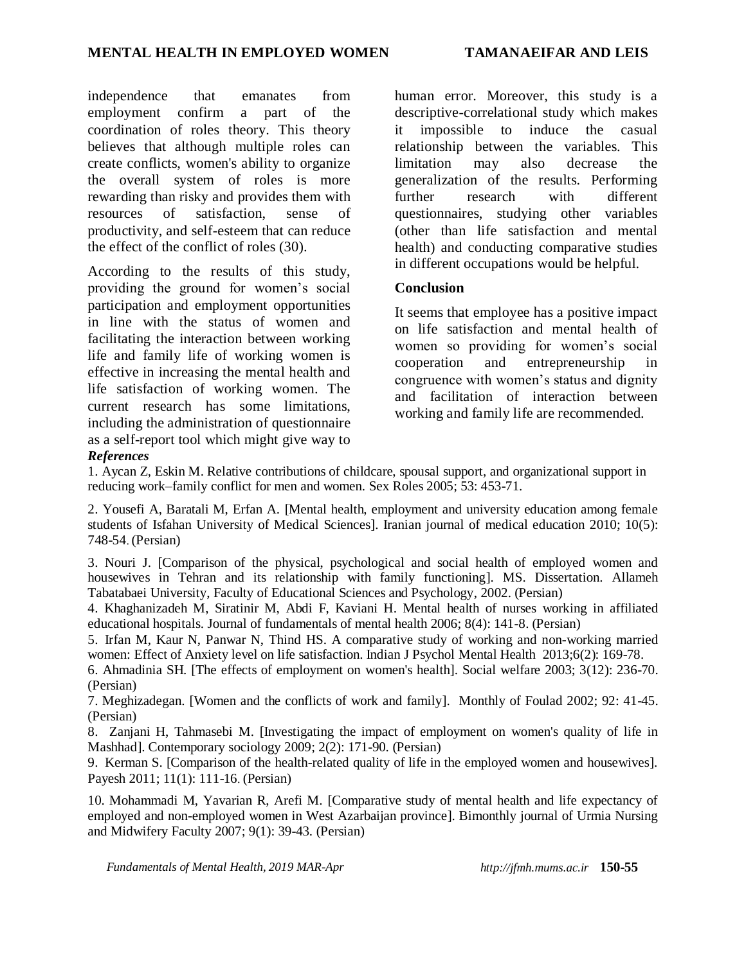independence that emanates from employment confirm a part of the coordination of roles theory. This theory believes that although multiple roles can create conflicts, women's ability to organize the overall system of roles is more rewarding than risky and provides them with resources of satisfaction, sense of productivity, and self-esteem that can reduce the effect of the conflict of roles (30).

According to the results of this study, providing the ground for women's social participation and employment opportunities in line with the status of women and facilitating the interaction between working life and family life of working women is effective in increasing the mental health and life satisfaction of working women. The current research has some limitations, including the administration of questionnaire as a self-report tool which might give way to *References*

human error. Moreover, this study is a descriptive-correlational study which makes it impossible to induce the casual relationship between the variables. This limitation may also decrease the generalization of the results. Performing further research with different questionnaires, studying other variables (other than life satisfaction and mental health) and conducting comparative studies in different occupations would be helpful.

## **Conclusion**

It seems that employee has a positive impact on life satisfaction and mental health of women so providing for women's social cooperation and entrepreneurship in congruence with women's status and dignity and facilitation of interaction between working and family life are recommended.

1. Aycan Z, Eskin M. Relative contributions of childcare, spousal support, and organizational support in reducing work–family conflict for men and women. Sex Roles 2005; 53: 453-71.

2. Yousefi A, Baratali M, Erfan A. [Mental health, employment and university education among female students of Isfahan University of Medical Sciences]. Iranian journal of medical education 2010; 10(5): 748-54. (Persian)

3. Nouri J. [Comparison of the physical, psychological and social health of employed women and housewives in Tehran and its relationship with family functioning]. MS. Dissertation. Allameh Tabatabaei University, Faculty of Educational Sciences and Psychology, 2002. (Persian)

4. Khaghanizadeh M, Siratinir M, Abdi F, Kaviani H. Mental health of nurses working in affiliated educational hospitals. Journal of fundamentals of mental health 2006; 8(4): 141-8. (Persian)

5. Irfan M, Kaur N, Panwar N, Thind HS. A comparative study of working and non-working married women: Effect of Anxiety level on life satisfaction. Indian J Psychol Mental Health 2013;6(2): 169-78.

6. Ahmadinia SH. [The effects of employment on women's health]. Social welfare 2003; 3(12): 236-70. (Persian)

7. Meghizadegan. [Women and the conflicts of work and family]. Monthly of Foulad 2002; 92: 41-45. (Persian)

8. Zanjani H, Tahmasebi M. [Investigating the impact of employment on women's quality of life in Mashhad]. Contemporary sociology 2009; 2(2): 171-90. (Persian)

9. Kerman S. [Comparison of the health-related quality of life in the employed women and housewives]. Payesh 2011; 11(1): 111-16. (Persian)

10. Mohammadi M, Yavarian R, Arefi M. [Comparative study of mental health and life expectancy of employed and non-employed women in West Azarbaijan province]. Bimonthly journal of Urmia Nursing and Midwifery Faculty 2007; 9(1): 39-43. (Persian)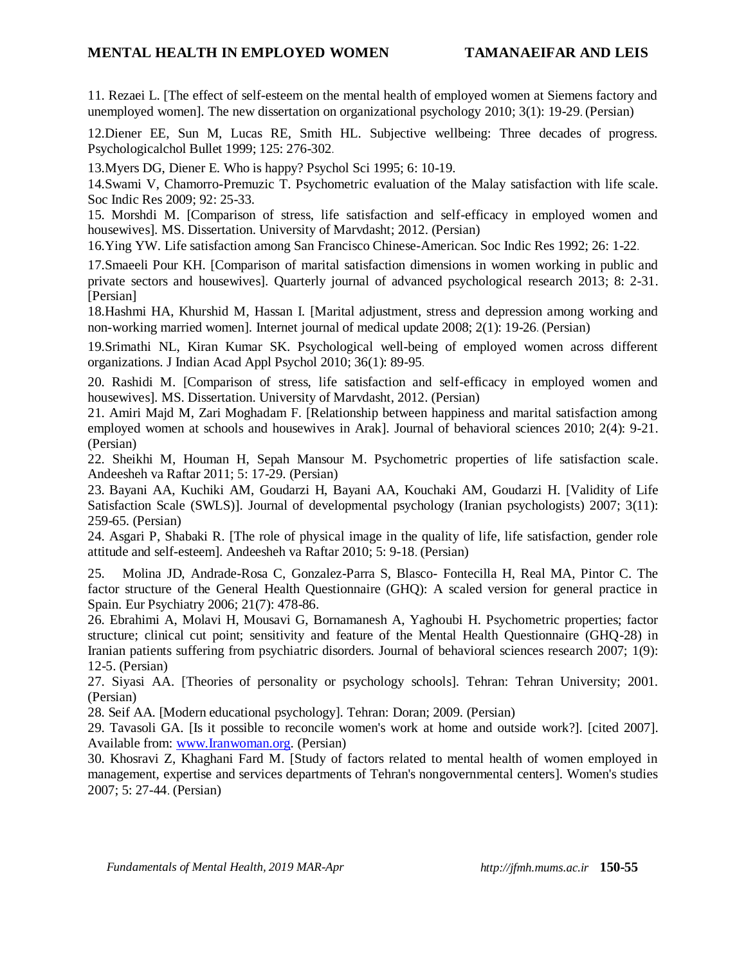11. Rezaei L. [The effect of self-esteem on the mental health of employed women at Siemens factory and unemployed women]. The new dissertation on organizational psychology 2010; 3(1): 19-29. (Persian)

12.Diener EE, Sun M, Lucas RE, Smith HL. Subjective wellbeing: Three decades of progress. Psychologicalchol Bullet 1999; 125: 276-302.

13.Myers DG, Diener E. Who is happy? Psychol Sci 1995; 6: 10-19.

14.Swami V, Chamorro-Premuzic T. Psychometric evaluation of the Malay satisfaction with life scale. Soc Indic Res 2009; 92: 25-33.

15. Morshdi M. [Comparison of stress, life satisfaction and self-efficacy in employed women and housewives]. MS. Dissertation. University of Marvdasht; 2012. (Persian)

16.Ying YW. Life satisfaction among San Francisco Chinese-American. Soc Indic Res 1992; 26: 1-22.

17.Smaeeli Pour KH. [Comparison of marital satisfaction dimensions in women working in public and private sectors and housewives]. Quarterly journal of advanced psychological research 2013; 8: 2-31. [Persian]

18.Hashmi HA, Khurshid M, Hassan I. [Marital adjustment, stress and depression among working and non-working married women]. Internet journal of medical update 2008; 2(1): 19-26. (Persian)

19.Srimathi NL, Kiran Kumar SK. Psychological well-being of employed women across different organizations. J Indian Acad Appl Psychol 2010; 36(1): 89-95.

20. Rashidi M. [Comparison of stress, life satisfaction and self-efficacy in employed women and housewives]. MS. Dissertation. University of Marvdasht, 2012. (Persian)

21. Amiri Majd M, Zari Moghadam F. [Relationship between happiness and marital satisfaction among employed women at schools and housewives in Arak]. Journal of behavioral sciences 2010; 2(4): 9-21. (Persian)

22. Sheikhi M, Houman H, Sepah Mansour M. Psychometric properties of life satisfaction scale. Andeesheh va Raftar 2011; 5: 17-29. (Persian)

23. Bayani AA, Kuchiki AM, Goudarzi H, Bayani AA, Kouchaki AM, Goudarzi H. [Validity of Life Satisfaction Scale (SWLS)]. Journal of developmental psychology (Iranian psychologists) 2007; 3(11): 259-65. (Persian)

24. Asgari P, Shabaki R. [The role of physical image in the quality of life, life satisfaction, gender role attitude and self-esteem]. Andeesheh va Raftar 2010; 5: 9-18. (Persian)

25. Molina JD, Andrade-Rosa C, Gonzalez-Parra S, Blasco- Fontecilla H, Real MA, Pintor C. The factor structure of the General Health Questionnaire (GHQ): A scaled version for general practice in Spain. Eur Psychiatry 2006; 21(7): 478-86.

26. Ebrahimi A, Molavi H, Mousavi G, Bornamanesh A, Yaghoubi H. Psychometric properties; factor structure; clinical cut point; sensitivity and feature of the Mental Health Questionnaire (GHQ-28) in Iranian patients suffering from psychiatric disorders. Journal of behavioral sciences research 2007; 1(9): 12-5. (Persian)

27. Siyasi AA. [Theories of personality or psychology schools]. Tehran: Tehran University; 2001. (Persian)

28. Seif AA. [Modern educational psychology]. Tehran: Doran; 2009. (Persian)

29. Tavasoli GA. [Is it possible to reconcile women's work at home and outside work?]. [cited 2007]. Available from: [www.Iranwoman.org.](http://www.iranwoman.org/) (Persian)

30. Khosravi Z, Khaghani Fard M. [Study of factors related to mental health of women employed in management, expertise and services departments of Tehran's nongovernmental centers]. Women's studies 2007; 5: 27-44. (Persian)